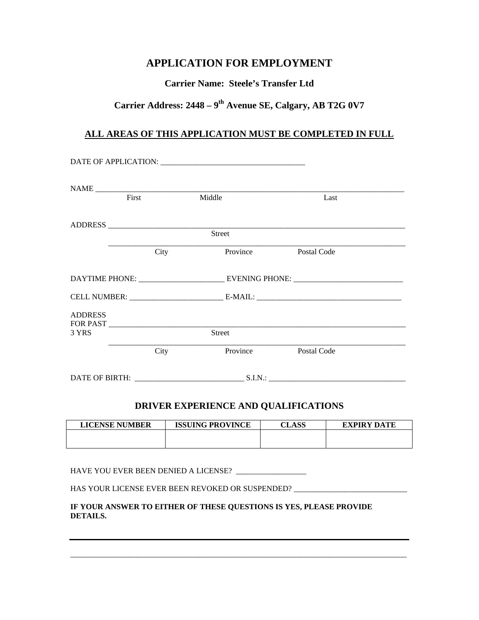# **APPLICATION FOR EMPLOYMENT**

## **Carrier Name: Steele's Transfer Ltd**

# **Carrier Address: 2448 – 9th Avenue SE, Calgary, AB T2G 0V7**

## **ALL AREAS OF THIS APPLICATION MUST BE COMPLETED IN FULL**

|                | First    | Middle   | Last        |  |
|----------------|----------|----------|-------------|--|
|                |          |          |             |  |
|                |          | Street   |             |  |
|                | City     | Province | Postal Code |  |
|                |          |          |             |  |
|                |          |          |             |  |
| <b>ADDRESS</b> | FOR PAST |          |             |  |
| 3 YRS          |          | Street   |             |  |
|                | City     | Province | Postal Code |  |
|                |          |          |             |  |

## **DRIVER EXPERIENCE AND QUALIFICATIONS**

| <b>LICENSE NUMBER</b> | <b>ISSUING PROVINCE</b> | <b>CLASS</b> | <b>EXPIRY DATE</b> |
|-----------------------|-------------------------|--------------|--------------------|
|                       |                         |              |                    |
|                       |                         |              |                    |

HAVE YOU EVER BEEN DENIED A LICENSE? \_\_\_\_\_\_\_\_\_\_\_\_\_\_\_\_\_\_

HAS YOUR LICENSE EVER BEEN REVOKED OR SUSPENDED? \_\_\_\_\_\_\_\_\_\_\_\_\_\_\_\_\_\_\_\_\_\_\_\_\_\_\_\_\_\_\_

#### **IF YOUR ANSWER TO EITHER OF THESE QUESTIONS IS YES, PLEASE PROVIDE DETAILS.**

\_\_\_\_\_\_\_\_\_\_\_\_\_\_\_\_\_\_\_\_\_\_\_\_\_\_\_\_\_\_\_\_\_\_\_\_\_\_\_\_\_\_\_\_\_\_\_\_\_\_\_\_\_\_\_\_\_\_\_\_\_\_\_\_\_\_\_\_\_\_\_\_\_\_\_\_\_\_\_\_\_\_\_\_\_\_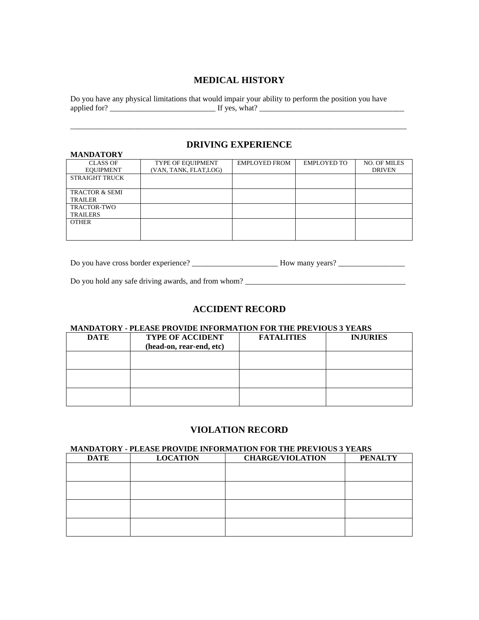#### **MEDICAL HISTORY**

Do you have any physical limitations that would impair your ability to perform the position you have applied for? \_\_\_\_\_\_\_\_\_\_\_\_\_\_\_\_\_\_\_\_\_\_\_\_\_\_\_ If yes, what? \_\_\_\_\_\_\_\_\_\_\_\_\_\_\_\_\_\_\_\_\_\_\_\_\_\_\_\_\_\_\_\_\_\_\_\_\_

#### **DRIVING EXPERIENCE**

| <b>MANDATORY</b>          |                       |                      |                    |                     |
|---------------------------|-----------------------|----------------------|--------------------|---------------------|
| <b>CLASS OF</b>           | TYPE OF EQUIPMENT     | <b>EMPLOYED FROM</b> | <b>EMPLOYED TO</b> | <b>NO. OF MILES</b> |
| <b>EQUIPMENT</b>          | (VAN, TANK, FLAT,LOG) |                      |                    | <b>DRIVEN</b>       |
| STRAIGHT TRUCK            |                       |                      |                    |                     |
|                           |                       |                      |                    |                     |
| <b>TRACTOR &amp; SEMI</b> |                       |                      |                    |                     |
| <b>TRAILER</b>            |                       |                      |                    |                     |
| <b>TRACTOR-TWO</b>        |                       |                      |                    |                     |
| <b>TRAILERS</b>           |                       |                      |                    |                     |
| <b>OTHER</b>              |                       |                      |                    |                     |
|                           |                       |                      |                    |                     |
|                           |                       |                      |                    |                     |

Do you have cross border experience? \_\_\_\_\_\_\_\_\_\_\_\_\_\_\_\_\_\_\_\_\_\_\_\_\_\_\_\_\_How many years? \_\_\_\_\_\_\_\_\_\_\_\_\_\_\_\_\_\_\_\_\_\_\_\_\_\_\_\_

Do you hold any safe driving awards, and from whom?

#### **ACCIDENT RECORD**

#### **MANDATORY - PLEASE PROVIDE INFORMATION FOR THE PREVIOUS 3 YEARS**

| <b>DATE</b> | <b>TYPE OF ACCIDENT</b><br>(head-on, rear-end, etc) | <b>FATALITIES</b> | <b>INJURIES</b> |
|-------------|-----------------------------------------------------|-------------------|-----------------|
|             |                                                     |                   |                 |
|             |                                                     |                   |                 |
|             |                                                     |                   |                 |

#### **VIOLATION RECORD**

#### **MANDATORY - PLEASE PROVIDE INFORMATION FOR THE PREVIOUS 3 YEARS**

| <b>DATE</b> | <b>LOCATION</b> | <b>CHARGE/VIOLATION</b> | <b>PENALTY</b> |
|-------------|-----------------|-------------------------|----------------|
|             |                 |                         |                |
|             |                 |                         |                |
|             |                 |                         |                |
|             |                 |                         |                |
|             |                 |                         |                |
|             |                 |                         |                |
|             |                 |                         |                |
|             |                 |                         |                |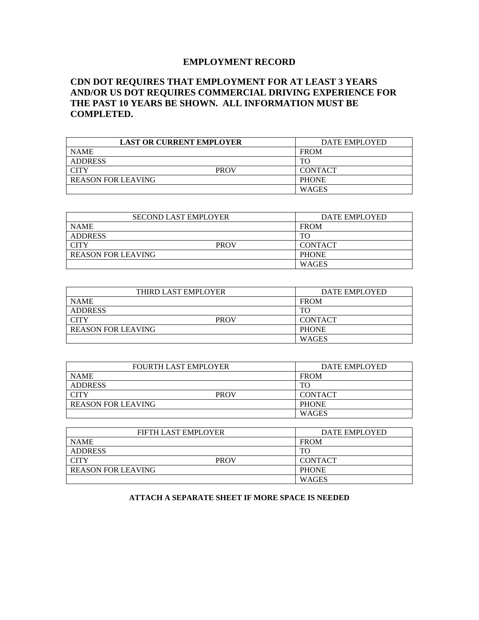## **EMPLOYMENT RECORD**

## **CDN DOT REQUIRES THAT EMPLOYMENT FOR AT LEAST 3 YEARS AND/OR US DOT REQUIRES COMMERCIAL DRIVING EXPERIENCE FOR THE PAST 10 YEARS BE SHOWN. ALL INFORMATION MUST BE COMPLETED.**

| <b>LAST OR CURRENT EMPLOYER</b> |             | DATE EMPLOYED  |
|---------------------------------|-------------|----------------|
| <b>NAME</b>                     |             | <b>FROM</b>    |
| <b>ADDRESS</b>                  |             | TΟ             |
| <b>CITY</b>                     | <b>PROV</b> | <b>CONTACT</b> |
| <b>REASON FOR LEAVING</b>       |             | <b>PHONE</b>   |
|                                 |             | <b>WAGES</b>   |

| <b>SECOND LAST EMPLOYER</b> |             | DATE EMPLOYED  |
|-----------------------------|-------------|----------------|
| <b>NAME</b>                 |             | <b>FROM</b>    |
| <b>ADDRESS</b>              |             | TO             |
| <b>CITY</b>                 | <b>PROV</b> | <b>CONTACT</b> |
| <b>REASON FOR LEAVING</b>   |             | <b>PHONE</b>   |
|                             |             | <b>WAGES</b>   |

| THIRD LAST EMPLOYER       |             | DATE EMPLOYED |                |
|---------------------------|-------------|---------------|----------------|
| <b>NAME</b>               |             |               | <b>FROM</b>    |
| <b>ADDRESS</b>            |             |               | TO             |
| <b>CITY</b>               | <b>PROV</b> |               | <b>CONTACT</b> |
| <b>REASON FOR LEAVING</b> |             |               | <b>PHONE</b>   |
|                           |             |               | <b>WAGES</b>   |

| <b>FOURTH LAST EMPLOYER</b> |             | DATE EMPLOYED  |
|-----------------------------|-------------|----------------|
| <b>NAME</b>                 |             | <b>FROM</b>    |
| <b>ADDRESS</b>              |             | TО             |
| <b>CITY</b>                 | <b>PROV</b> | <b>CONTACT</b> |
| <b>REASON FOR LEAVING</b>   |             | <b>PHONE</b>   |
|                             |             | <b>WAGES</b>   |

| FIFTH LAST EMPLOYER       |             | DATE EMPLOYED  |
|---------------------------|-------------|----------------|
| <b>NAME</b>               |             | <b>FROM</b>    |
| ADDRESS                   |             | TO             |
| <b>CITY</b>               | <b>PROV</b> | <b>CONTACT</b> |
| <b>REASON FOR LEAVING</b> |             | <b>PHONE</b>   |
|                           |             | <b>WAGES</b>   |

#### **ATTACH A SEPARATE SHEET IF MORE SPACE IS NEEDED**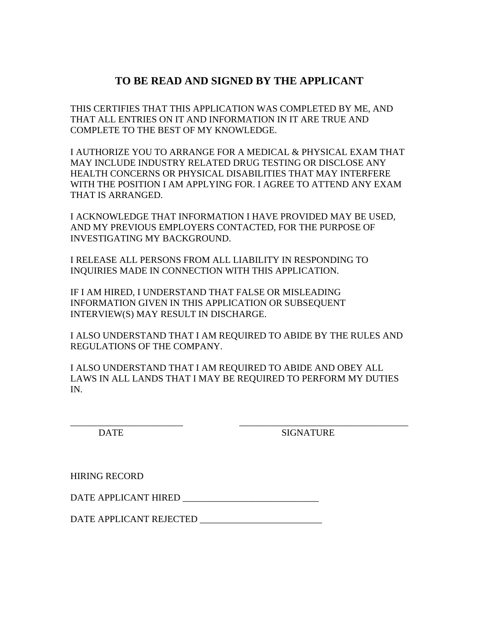# **TO BE READ AND SIGNED BY THE APPLICANT**

THIS CERTIFIES THAT THIS APPLICATION WAS COMPLETED BY ME, AND THAT ALL ENTRIES ON IT AND INFORMATION IN IT ARE TRUE AND COMPLETE TO THE BEST OF MY KNOWLEDGE.

I AUTHORIZE YOU TO ARRANGE FOR A MEDICAL & PHYSICAL EXAM THAT MAY INCLUDE INDUSTRY RELATED DRUG TESTING OR DISCLOSE ANY HEALTH CONCERNS OR PHYSICAL DISABILITIES THAT MAY INTERFERE WITH THE POSITION I AM APPLYING FOR. I AGREE TO ATTEND ANY EXAM THAT IS ARRANGED.

I ACKNOWLEDGE THAT INFORMATION I HAVE PROVIDED MAY BE USED, AND MY PREVIOUS EMPLOYERS CONTACTED, FOR THE PURPOSE OF INVESTIGATING MY BACKGROUND.

I RELEASE ALL PERSONS FROM ALL LIABILITY IN RESPONDING TO INQUIRIES MADE IN CONNECTION WITH THIS APPLICATION.

IF I AM HIRED, I UNDERSTAND THAT FALSE OR MISLEADING INFORMATION GIVEN IN THIS APPLICATION OR SUBSEQUENT INTERVIEW(S) MAY RESULT IN DISCHARGE.

I ALSO UNDERSTAND THAT I AM REQUIRED TO ABIDE BY THE RULES AND REGULATIONS OF THE COMPANY.

I ALSO UNDERSTAND THAT I AM REQUIRED TO ABIDE AND OBEY ALL LAWS IN ALL LANDS THAT I MAY BE REQUIRED TO PERFORM MY DUTIES IN.

\_\_\_\_\_\_\_\_\_\_\_\_\_\_\_\_\_\_\_\_\_\_\_\_ \_\_\_\_\_\_\_\_\_\_\_\_\_\_\_\_\_\_\_\_\_\_\_\_\_\_\_\_\_\_\_\_\_\_\_\_ DATE SIGNATURE

HIRING RECORD

DATE APPLICANT HIRED \_\_\_\_\_\_\_\_\_\_\_\_\_\_\_\_\_\_\_\_\_\_\_\_\_\_\_\_\_

DATE APPLICANT REJECTED \_\_\_\_\_\_\_\_\_\_\_\_\_\_\_\_\_\_\_\_\_\_\_\_\_\_